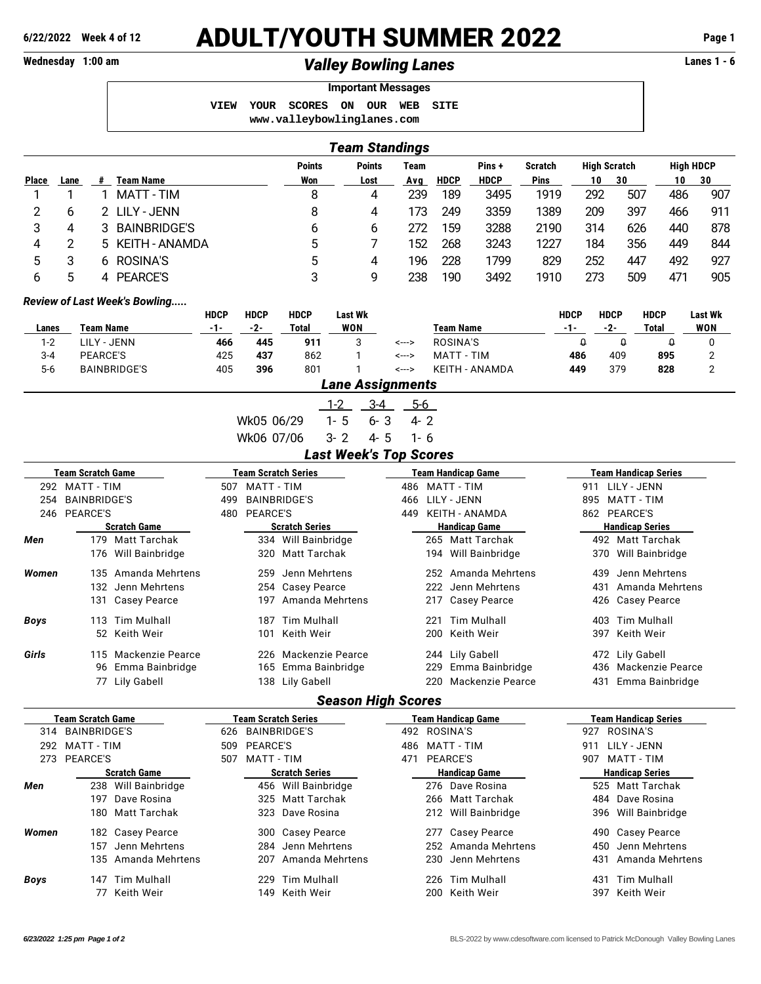## **6/22/2022 Week 4 of 12** ADULT/YOUTH SUMMER 2022 **Page 1**

## Wednesday 1:00 am *Valley Bowling Lanes* **Lanes 1 - 6**

**Important Messages VIEW YOUR SCORES ON OUR WEB SITE <www.valleybowlinglanes.com>**

|             |                        |                            |                               |                                |                        |                            |            |                                 |         | <b>Team Standings</b>         |                      |                           |                     |                            |                        |                             |                       |                |  |  |
|-------------|------------------------|----------------------------|-------------------------------|--------------------------------|------------------------|----------------------------|------------|---------------------------------|---------|-------------------------------|----------------------|---------------------------|---------------------|----------------------------|------------------------|-----------------------------|-----------------------|----------------|--|--|
|             |                        |                            |                               | <b>Points</b><br><b>Points</b> |                        |                            |            | Team<br>Pins+<br><b>Scratch</b> |         |                               |                      |                           | <b>High Scratch</b> |                            | <b>High HDCP</b>       |                             |                       |                |  |  |
| Place       | Lane                   | #                          | <b>Team Name</b>              |                                |                        | Won                        |            |                                 | Lost    | Avg                           | <b>HDCP</b>          | <b>HDCP</b>               | Pins                |                            | 10                     | 30                          | 10                    | 30             |  |  |
| 1           | 1                      | 1                          | <b>MATT-TIM</b>               |                                |                        |                            | 8<br>4     |                                 |         | 239                           | 189                  | 3495                      | 1919                |                            | 292                    | 507                         | 486                   | 907            |  |  |
| 2           | 6                      | 2                          | <b>LILY - JENN</b>            |                                |                        | 8                          |            |                                 | 4       | 173                           | 249                  | 3359                      | 1389                |                            | 209                    | 397                         | 466                   | 911            |  |  |
| 3           | 4                      | 3                          | <b>BAINBRIDGE'S</b>           |                                |                        |                            | 6<br>6     |                                 |         | 272                           | 159                  | 3288                      | 2190                |                            | 314                    | 626                         |                       | 878            |  |  |
| 4           | $\overline{c}$         | 5                          | <b>KEITH - ANAMDA</b>         |                                |                        | 5                          |            | 7                               | 152     | 268                           | 3243                 | 1227                      |                     | 184                        | 356                    |                             | 844                   |                |  |  |
| 5           | 3                      | 6                          | <b>ROSINA'S</b>               |                                |                        |                            | 5          |                                 | 4       | 196                           | 228                  | 1799                      | 829                 | 252<br>447                 |                        |                             | 449<br>492            | 927            |  |  |
| 5<br>6      |                        | 4                          | <b>PEARCE'S</b>               |                                |                        | 3                          |            | 9                               | 238     |                               | 190<br>3492          |                           |                     | 273                        | 509                    | 471                         | 905                   |                |  |  |
|             |                        |                            |                               |                                |                        |                            |            |                                 |         |                               |                      |                           | 1910                |                            |                        |                             |                       |                |  |  |
|             |                        |                            | Review of Last Week's Bowling | <b>HDCP</b>                    | <b>HDCP</b>            | <b>HDCP</b>                |            | <b>Last Wk</b>                  |         |                               |                      |                           |                     | <b>HDCP</b>                | <b>HDCP</b>            |                             | <b>HDCP</b>           | <b>Last Wk</b> |  |  |
| Lanes       |                        | <b>Team Name</b>           |                               | $-1-$                          | $-2-$                  | <b>Total</b>               | <b>WON</b> |                                 |         | <b>Team Name</b>              |                      |                           | $-1-$               | $-2-$                      |                        | <b>Total</b>                | <b>WON</b>            |                |  |  |
| $1 - 2$     |                        | <b>LILY - JENN</b>         |                               | 466                            | 445                    | 911                        |            | 3                               |         | <--->                         | <b>ROSINA'S</b>      |                           |                     | $\theta$                   |                        | $\theta$                    | $\boldsymbol{\theta}$ | 0              |  |  |
| $3 - 4$     | PEARCE'S               |                            | 425                           | 437                            | 862                    |                            | 1          |                                 | <--->   | <b>MATT - TIM</b>             |                      |                           | 486                 |                            | 409                    | 895                         | 2                     |                |  |  |
| $5-6$       |                        |                            | <b>BAINBRIDGE'S</b>           | 405                            | 396                    | 801                        |            | 1                               |         | <--->                         |                      | KEITH - ANAMDA            |                     | 449                        |                        | 379                         | 828                   | 2              |  |  |
|             |                        |                            |                               |                                |                        |                            |            |                                 |         | <b>Lane Assignments</b>       |                      |                           |                     |                            |                        |                             |                       |                |  |  |
|             |                        |                            |                               |                                |                        |                            | $1 - 2$    |                                 | $3-4$   | $5-6$                         |                      |                           |                     |                            |                        |                             |                       |                |  |  |
|             |                        |                            |                               |                                | Wk05 06/29             |                            | $1 - 5$    |                                 | $6 - 3$ | $4 - 2$                       |                      |                           |                     |                            |                        |                             |                       |                |  |  |
|             |                        |                            |                               |                                | Wk06 07/06             |                            | $3 - 2$    |                                 | $4 - 5$ | $1 - 6$                       |                      |                           |                     |                            |                        |                             |                       |                |  |  |
|             |                        |                            |                               |                                |                        |                            |            |                                 |         | <b>Last Week's Top Scores</b> |                      |                           |                     |                            |                        |                             |                       |                |  |  |
|             |                        | <b>Team Scratch Game</b>   |                               |                                |                        | <b>Team Scratch Series</b> |            |                                 |         |                               |                      | <b>Team Handicap Game</b> |                     |                            |                        | <b>Team Handicap Series</b> |                       |                |  |  |
|             |                        | 292 MATT - TIM             |                               |                                | 507<br>MATT - TIM      |                            |            |                                 |         |                               | <b>MATT - TIM</b>    |                           |                     |                            | 911                    | LILY - JENN                 |                       |                |  |  |
| 254         |                        | <b>BAINBRIDGE'S</b>        |                               | 499                            | <b>BAINBRIDGE'S</b>    |                            |            |                                 |         |                               | LILY - JENN          |                           |                     | 895 MATT - TIM             |                        |                             |                       |                |  |  |
|             |                        | 246 PEARCE'S               |                               |                                | 480                    | <b>PEARCE'S</b>            |            |                                 |         |                               |                      | <b>KEITH - ANAMDA</b>     |                     | 862 PEARCE'S               |                        |                             |                       |                |  |  |
|             |                        | <b>Scratch Game</b>        |                               |                                | <b>Scratch Series</b>  |                            |            |                                 |         |                               |                      | <b>Handicap Game</b>      |                     | <b>Handicap Series</b>     |                        |                             |                       |                |  |  |
| Men         |                        | 179 Matt Tarchak           |                               |                                |                        | 334 Will Bainbridge        |            |                                 |         |                               | 265 Matt Tarchak     |                           |                     |                            | 492 Matt Tarchak       |                             |                       |                |  |  |
|             | Will Bainbridge<br>176 |                            |                               |                                | 320                    | <b>Matt Tarchak</b>        |            |                                 |         |                               |                      | 194 Will Bainbridge       |                     | Will Bainbridge<br>370     |                        |                             |                       |                |  |  |
| Women       | Amanda Mehrtens<br>135 |                            |                               |                                |                        | Jenn Mehrtens<br>259       |            |                                 |         |                               |                      | 252 Amanda Mehrtens       |                     | Jenn Mehrtens<br>439       |                        |                             |                       |                |  |  |
|             | Jenn Mehrtens<br>132   |                            |                               |                                |                        | <b>Casey Pearce</b><br>254 |            |                                 |         |                               | 222                  | Jenn Mehrtens             |                     | Amanda Mehrtens<br>431     |                        |                             |                       |                |  |  |
|             |                        | 131<br><b>Casey Pearce</b> |                               |                                | Amanda Mehrtens<br>197 |                            |            |                                 |         |                               | 217                  | <b>Casey Pearce</b>       |                     | <b>Casey Pearce</b><br>426 |                        |                             |                       |                |  |  |
| <b>Boys</b> |                        | 113                        | Tim Mulhall                   |                                | Tim Mulhall<br>187     |                            |            |                                 |         |                               | 221                  | <b>Tim Mulhall</b>        |                     | Tim Mulhall<br>403         |                        |                             |                       |                |  |  |
|             | 52 Keith Weir          |                            |                               |                                | 101<br>Keith Weir      |                            |            |                                 |         |                               | 200                  | Keith Weir                |                     | 397<br>Keith Weir          |                        |                             |                       |                |  |  |
| Girls       |                        | 115                        | <b>Mackenzie Pearce</b>       |                                | 226                    | Mackenzie Pearce           |            |                                 |         |                               | 244                  | Lily Gabell               |                     |                            |                        | 472 Lily Gabell             |                       |                |  |  |
|             |                        | 96                         | Emma Bainbridge               |                                | 165                    | Emma Bainbridge            |            |                                 |         |                               | 229                  | Emma Bainbridge           |                     |                            |                        |                             | 436 Mackenzie Pearce  |                |  |  |
|             |                        |                            | 77 Lily Gabell                |                                |                        | 138 Lily Gabell            |            |                                 |         |                               |                      | 220 Mackenzie Pearce      |                     |                            |                        |                             | 431 Emma Bainbridge   |                |  |  |
|             |                        |                            |                               |                                |                        |                            |            |                                 |         | <b>Season High Scores</b>     |                      |                           |                     |                            |                        |                             |                       |                |  |  |
|             |                        | <b>Team Scratch Game</b>   |                               |                                |                        | <b>Team Scratch Series</b> |            |                                 |         |                               |                      | <b>Team Handicap Game</b> |                     |                            |                        | <b>Team Handicap Series</b> |                       |                |  |  |
|             |                        | 314 BAINBRIDGE'S           |                               | 626 BAINBRIDGE'S               |                        |                            |            |                                 |         |                               | 492 ROSINA'S         |                           |                     | 927 ROSINA'S               |                        |                             |                       |                |  |  |
|             | 292 MATT - TIM         |                            |                               |                                |                        | 509 PEARCE'S               |            |                                 |         |                               | 486 MATT - TIM       |                           |                     |                            | 911<br>LILY - JENN     |                             |                       |                |  |  |
|             |                        | 273 PEARCE'S               |                               |                                | 507 MATT - TIM         |                            |            |                                 | 471     | <b>PEARCE'S</b>               |                      |                           |                     | 907 MATT - TIM             |                        |                             |                       |                |  |  |
|             |                        |                            | <b>Scratch Game</b>           |                                |                        | <b>Scratch Series</b>      |            |                                 |         |                               | <b>Handicap Game</b> |                           |                     |                            | <b>Handicap Series</b> |                             |                       |                |  |  |
| Men         | 238 Will Bainbridge    |                            |                               |                                |                        | 456 Will Bainbridge        |            |                                 |         |                               | 276 Dave Rosina      |                           |                     |                            | 525 Matt Tarchak       |                             |                       |                |  |  |
|             | 197 Dave Rosina        |                            |                               |                                |                        | 325 Matt Tarchak           |            |                                 |         |                               |                      | 266 Matt Tarchak          |                     |                            |                        | 484 Dave Rosina             |                       |                |  |  |
|             |                        |                            | 180 Matt Tarchak              |                                |                        | 323 Dave Rosina            |            |                                 |         |                               |                      | 212 Will Bainbridge       |                     |                            |                        |                             | 396 Will Bainbridge   |                |  |  |

- *Women* 182 Casey Pearce 300 Casey Pearce 277 Casey Pearce 490 Casey Pearce
	- 157 Jenn Mehrtens 284 Jenn Mehrtens 252 Amanda Mehrtens 450 Jenn Mehrtens
	- 135 Amanda Mehrtens 207 Amanda Mehrtens 230 Jenn Mehrtens 431 Amanda Mehrtens
- *Boys* 147 Tim Mulhall 229 Tim Mulhall 226 Tim Mulhall 431 Tim Mulhall
	- 77 Keith Weir 149 Keith Weir 200 Keith Weir 397 Keith Weir